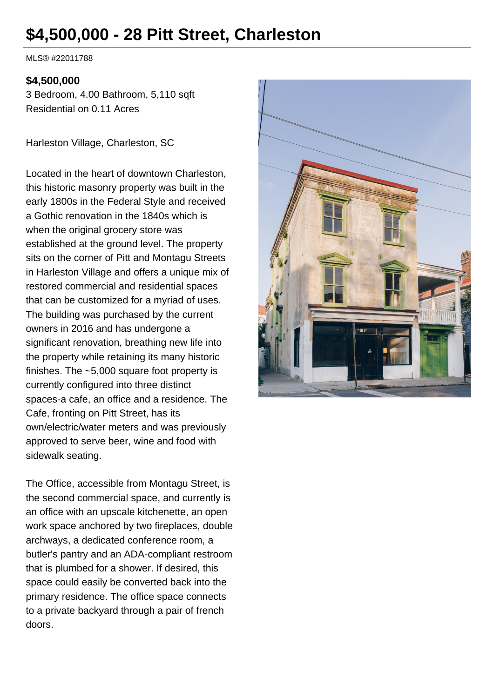# **\$4,500,000 - 28 Pitt Street, Charleston**

MLS® #22011788

#### **\$4,500,000**

3 Bedroom, 4.00 Bathroom, 5,110 sqft Residential on 0.11 Acres

Harleston Village, Charleston, SC

Located in the heart of downtown Charleston, this historic masonry property was built in the early 1800s in the Federal Style and received a Gothic renovation in the 1840s which is when the original grocery store was established at the ground level. The property sits on the corner of Pitt and Montagu Streets in Harleston Village and offers a unique mix of restored commercial and residential spaces that can be customized for a myriad of uses. The building was purchased by the current owners in 2016 and has undergone a significant renovation, breathing new life into the property while retaining its many historic finishes. The ~5,000 square foot property is currently configured into three distinct spaces-a cafe, an office and a residence. The Cafe, fronting on Pitt Street, has its own/electric/water meters and was previously approved to serve beer, wine and food with sidewalk seating.

The Office, accessible from Montagu Street, is the second commercial space, and currently is an office with an upscale kitchenette, an open work space anchored by two fireplaces, double archways, a dedicated conference room, a butler's pantry and an ADA-compliant restroom that is plumbed for a shower. If desired, this space could easily be converted back into the primary residence. The office space connects to a private backyard through a pair of french doors.

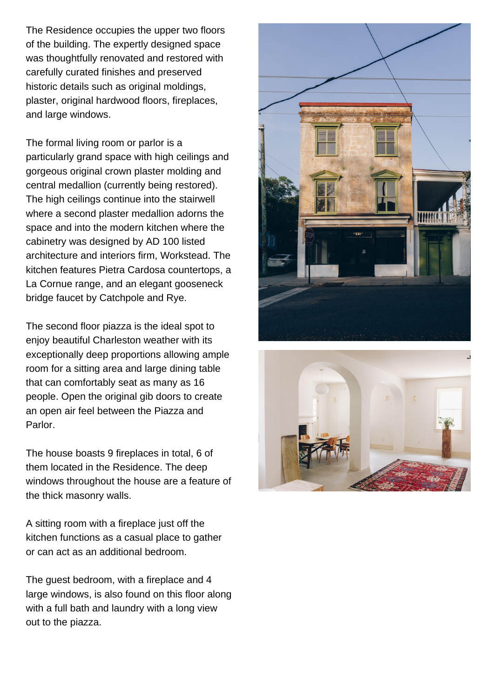The Residence occupies the upper two floors of the building. The expertly designed space was thoughtfully renovated and restored with carefully curated finishes and preserved historic details such as original moldings, plaster, original hardwood floors, fireplaces, and large windows.

The formal living room or parlor is a particularly grand space with high ceilings and gorgeous original crown plaster molding and central medallion (currently being restored). The high ceilings continue into the stairwell where a second plaster medallion adorns the space and into the modern kitchen where the cabinetry was designed by AD 100 listed architecture and interiors firm, Workstead. The kitchen features Pietra Cardosa countertops, a La Cornue range, and an elegant gooseneck bridge faucet by Catchpole and Rye.

The second floor piazza is the ideal spot to enjoy beautiful Charleston weather with its exceptionally deep proportions allowing ample room for a sitting area and large dining table that can comfortably seat as many as 16 people. Open the original gib doors to create an open air feel between the Piazza and Parlor.

The house boasts 9 fireplaces in total, 6 of them located in the Residence. The deep windows throughout the house are a feature of the thick masonry walls.

A sitting room with a fireplace just off the kitchen functions as a casual place to gather or can act as an additional bedroom.

The guest bedroom, with a fireplace and 4 large windows, is also found on this floor along with a full bath and laundry with a long view out to the piazza.



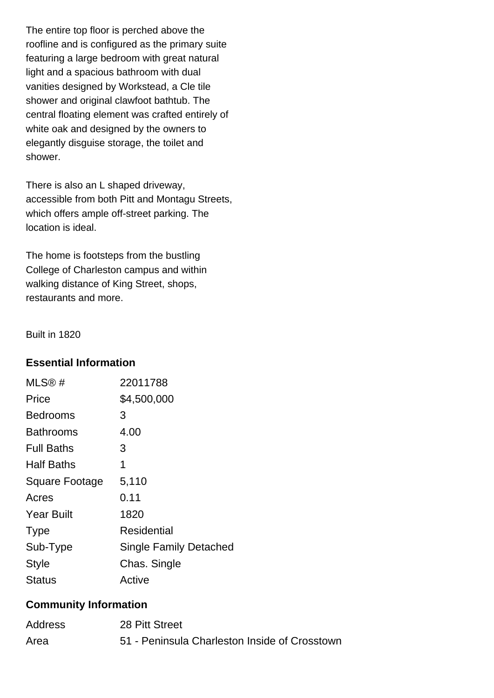The entire top floor is perched above the roofline and is configured as the primary suite featuring a large bedroom with great natural light and a spacious bathroom with dual vanities designed by Workstead, a Cle tile shower and original clawfoot bathtub. The central floating element was crafted entirely of white oak and designed by the owners to elegantly disguise storage, the toilet and shower.

There is also an L shaped driveway, accessible from both Pitt and Montagu Streets, which offers ample off-street parking. The location is ideal.

The home is footsteps from the bustling College of Charleston campus and within walking distance of King Street, shops, restaurants and more.

Built in 1820

#### **Essential Information**

| MLS®#                 | 22011788                      |
|-----------------------|-------------------------------|
| Price                 | \$4,500,000                   |
| Bedrooms              | 3                             |
| <b>Bathrooms</b>      | 4.00                          |
| <b>Full Baths</b>     | 3                             |
| <b>Half Baths</b>     | 1                             |
| <b>Square Footage</b> | 5,110                         |
| Acres                 | 0.11                          |
| <b>Year Built</b>     | 1820                          |
| <b>Type</b>           | Residential                   |
| Sub-Type              | <b>Single Family Detached</b> |
| <b>Style</b>          | Chas. Single                  |
| <b>Status</b>         | Active                        |

# **Community Information**

| Address | 28 Pitt Street                                |
|---------|-----------------------------------------------|
| Area    | 51 - Peninsula Charleston Inside of Crosstown |